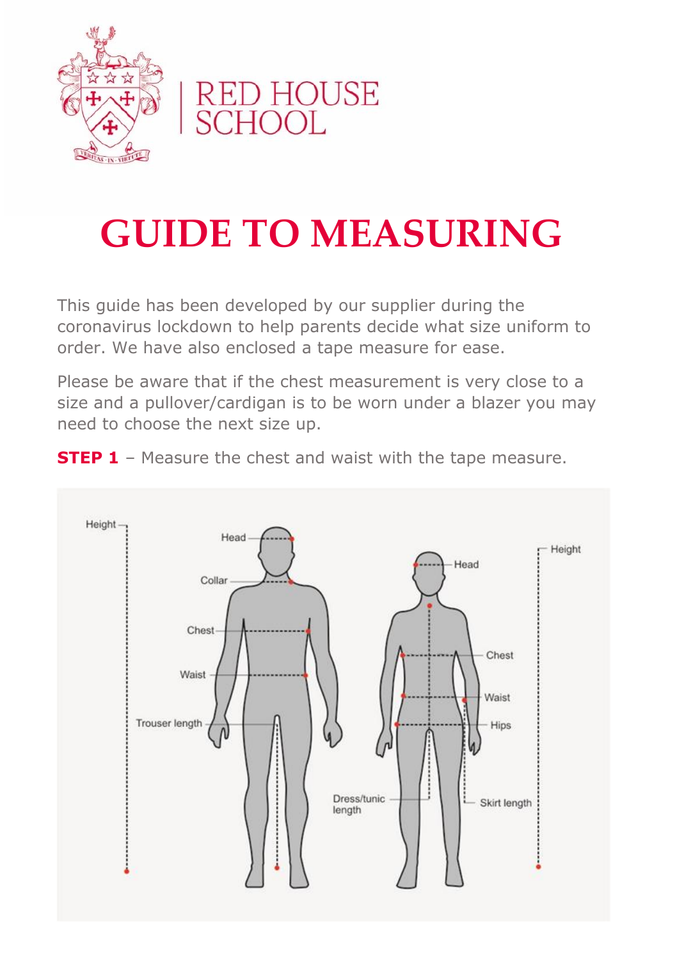

## RED HOUSE<br>SCHOOL

## **GUIDE TO MEASURING**

This guide has been developed by our supplier during the coronavirus lockdown to help parents decide what size uniform to order. We have also enclosed a tape measure for ease.

Please be aware that if the chest measurement is very close to a size and a pullover/cardigan is to be worn under a blazer you may need to choose the next size up.

**STEP 1** - Measure the chest and waist with the tape measure.

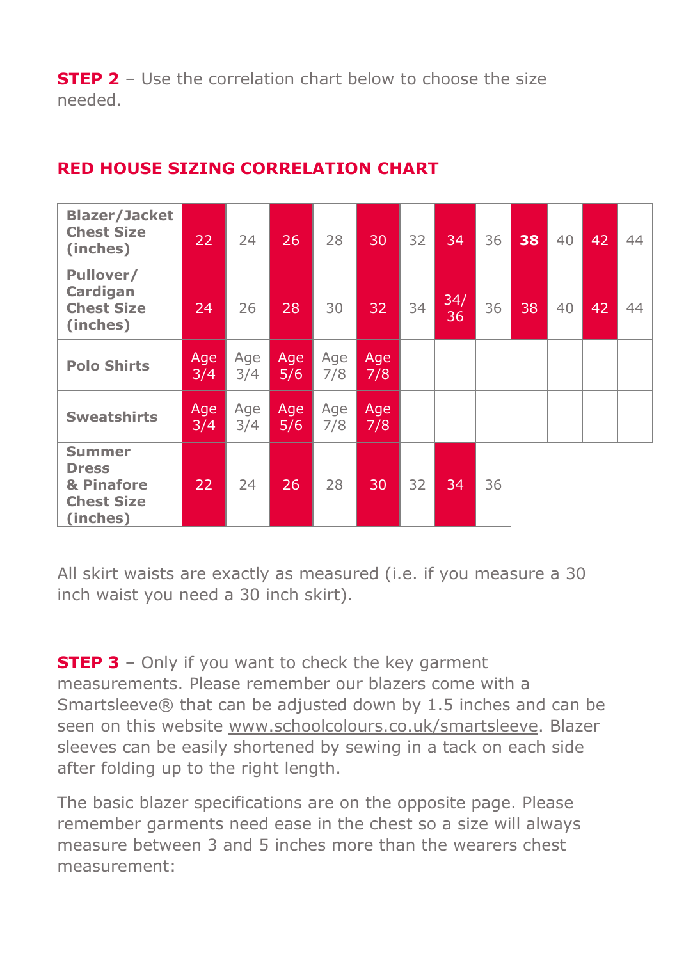**STEP 2** – Use the correlation chart below to choose the size needed.

| <b>Blazer/Jacket</b><br><b>Chest Size</b><br>(inches)                        | 22         | 24         | 26         | 28         | 30         | 32 | 34        | 36 | 38 | 40 | 42 | 44 |
|------------------------------------------------------------------------------|------------|------------|------------|------------|------------|----|-----------|----|----|----|----|----|
| Pullover/<br>Cardigan<br><b>Chest Size</b><br>(inches)                       | 24         | 26         | 28         | 30         | 32         | 34 | 34/<br>36 | 36 | 38 | 40 | 42 | 44 |
| <b>Polo Shirts</b>                                                           | Age<br>3/4 | Age<br>3/4 | Age<br>5/6 | Age<br>7/8 | Age<br>7/8 |    |           |    |    |    |    |    |
| <b>Sweatshirts</b>                                                           | Age<br>3/4 | Age<br>3/4 | Age<br>5/6 | Age<br>7/8 | Age<br>7/8 |    |           |    |    |    |    |    |
| <b>Summer</b><br><b>Dress</b><br>& Pinafore<br><b>Chest Size</b><br>(inches) | 22         | 24         | 26         | 28         | '30.       | 32 | 34        | 36 |    |    |    |    |

## **RED HOUSE SIZING CORRELATION CHART**

All skirt waists are exactly as measured (i.e. if you measure a 30 inch waist you need a 30 inch skirt).

**STEP 3** – Only if you want to check the key garment measurements. Please remember our blazers come with a Smartsleeve® that can be adjusted down by 1.5 inches and can be seen on this website www.schoolcolours.co.uk/smartsleeve. Blazer sleeves can be easily shortened by sewing in a tack on each side after folding up to the right length.

The basic blazer specifications are on the opposite page. Please remember garments need ease in the chest so a size will always measure between 3 and 5 inches more than the wearers chest measurement: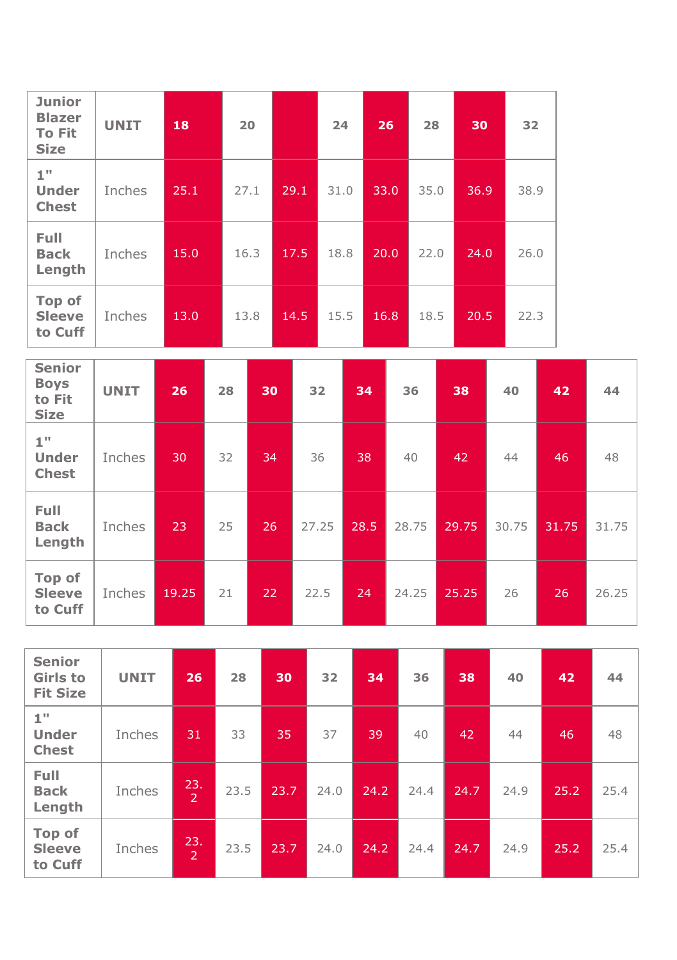| <b>Junior</b><br><b>Blazer</b><br><b>To Fit</b><br><b>Size</b> | <b>UNIT</b> | 18   | 20   |      | 24   | 26   | 28   | 30   | 32   |
|----------------------------------------------------------------|-------------|------|------|------|------|------|------|------|------|
| 1"<br><b>Under</b><br><b>Chest</b>                             | Inches      | 25.1 | 27.1 | 29.1 | 31.0 | 33.0 | 35.0 | 36.9 | 38.9 |
| Full<br><b>Back</b><br>Length                                  | Inches      | 15.0 | 16.3 | 17.5 | 18.8 | 20.0 | 22.0 | 24.0 | 26.0 |
| Top of<br><b>Sleeve</b><br>to Cuff                             | Inches      | 13.0 | 13.8 | 14.5 | 15.5 | 16.8 | 18.5 | 20.5 | 22.3 |

| <b>Senior</b><br><b>Boys</b><br>to Fit<br><b>Size</b> | <b>UNIT</b> | 26    | 28 | 30 | 32    | 34   | 36    | 38    | 40    | 42    | 44    |
|-------------------------------------------------------|-------------|-------|----|----|-------|------|-------|-------|-------|-------|-------|
| 1"<br><b>Under</b><br><b>Chest</b>                    | Inches      | 30    | 32 | 34 | 36    | 38   | 40    | 42    | 44    | 46    | 48    |
| Full<br><b>Back</b><br>Length                         | Inches      | 23    | 25 | 26 | 27.25 | 28.5 | 28.75 | 29.75 | 30.75 | 31.75 | 31.75 |
| Top of<br><b>Sleeve</b><br>to Cuff                    | Inches      | 19.25 | 21 | 22 | 22.5  | 24   | 24.25 | 25.25 | 26    | 26    | 26.25 |

| <b>Senior</b><br><b>Girls to</b><br><b>Fit Size</b> | <b>UNIT</b> | 26                    | 28   | 30   | 32   | 34   | 36   | 38   | 40   | 42   | 44   |
|-----------------------------------------------------|-------------|-----------------------|------|------|------|------|------|------|------|------|------|
| 1"<br><b>Under</b><br><b>Chest</b>                  | Inches      | 31                    | 33   | 35   | 37   | 39   | 40   | 42   | 44   | 46   | 48   |
| <b>Full</b><br><b>Back</b><br>Length                | Inches      | 23.<br>$\overline{2}$ | 23.5 | 23.7 | 24.0 | 24.2 | 24.4 | 24.7 | 24.9 | 25.2 | 25.4 |
| Top of<br><b>Sleeve</b><br>to Cuff                  | Inches      | 23.<br>$\overline{2}$ | 23.5 | 23.7 | 24.0 | 24.2 | 24.4 | 24.7 | 24.9 | 25.2 | 25.4 |